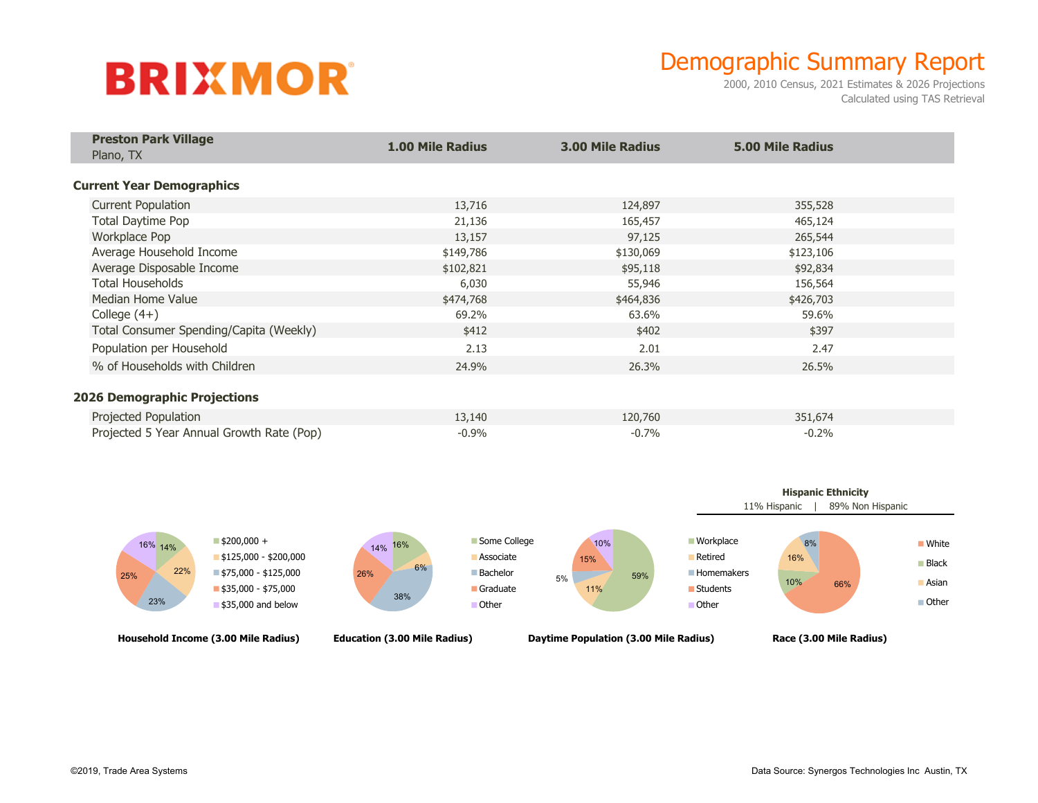## **BRIXMOR**

## Demographic Summary Report

2000, 2010 Census, 2021 Estimates & 2026 Projections Calculated using TAS Retrieval

| <b>Preston Park Village</b><br>Plano, TX                                                                 | <b>1.00 Mile Radius</b> | <b>3.00 Mile Radius</b> | <b>5.00 Mile Radius</b> |  |
|----------------------------------------------------------------------------------------------------------|-------------------------|-------------------------|-------------------------|--|
|                                                                                                          |                         |                         |                         |  |
| <b>Current Year Demographics</b>                                                                         |                         |                         |                         |  |
| <b>Current Population</b>                                                                                | 13,716                  | 124,897                 | 355,528                 |  |
| <b>Total Daytime Pop</b>                                                                                 | 21,136                  | 165,457                 | 465,124                 |  |
| Workplace Pop                                                                                            | 13,157                  | 97,125                  | 265,544                 |  |
| Average Household Income                                                                                 | \$149,786               | \$130,069               | \$123,106               |  |
| Average Disposable Income                                                                                | \$102,821               | \$95,118                | \$92,834                |  |
| <b>Total Households</b>                                                                                  | 6,030                   | 55,946                  | 156,564                 |  |
| Median Home Value                                                                                        | \$474,768               | \$464,836               | \$426,703               |  |
| College $(4+)$                                                                                           | 69.2%                   | 63.6%                   | 59.6%                   |  |
| Total Consumer Spending/Capita (Weekly)                                                                  | \$412                   | \$402                   | \$397                   |  |
| Population per Household                                                                                 | 2.13                    | 2.01                    | 2.47                    |  |
| % of Households with Children                                                                            | 24.9%                   | 26.3%                   | 26.5%                   |  |
|                                                                                                          |                         |                         |                         |  |
|                                                                                                          |                         |                         |                         |  |
|                                                                                                          |                         |                         |                         |  |
| <b>2026 Demographic Projections</b><br>Projected Population<br>Projected 5 Year Annual Growth Rate (Pop) | 13,140<br>$-0.9%$       | 120,760<br>$-0.7%$      | 351,674<br>$-0.2%$      |  |